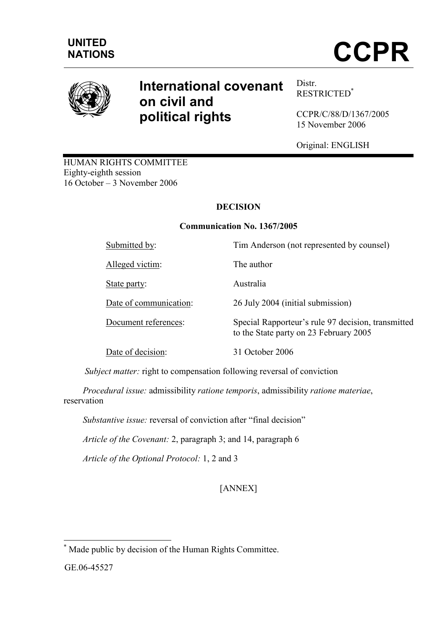## UNITED

# NATIONS **CCPR**



### International covenant on civil and political rights

Distr. RESTRICTED\*

CCPR/C/88/D/1367/2005 15 November 2006

Original: ENGLISH

HUMAN RIGHTS COMMITTEE Eighty-eighth session 16 October – 3 November 2006

#### DECISION

#### Communication No. 1367/2005

Submitted by: Tim Anderson (not represented by counsel) Alleged victim: The author State party: Australia Date of communication: 26 July 2004 (initial submission) Document references: Special Rapporteur's rule 97 decision, transmitted to the State party on 23 February 2005 Date of decision: 31 October 2006

Subject matter: right to compensation following reversal of conviction

 Procedural issue: admissibility ratione temporis, admissibility ratione materiae, reservation

Substantive issue: reversal of conviction after "final decision"

Article of the Covenant: 2, paragraph 3; and 14, paragraph 6

Article of the Optional Protocol: 1, 2 and 3

#### [ANNEX]

GE.06-45527

 $\overline{a}$ \* Made public by decision of the Human Rights Committee.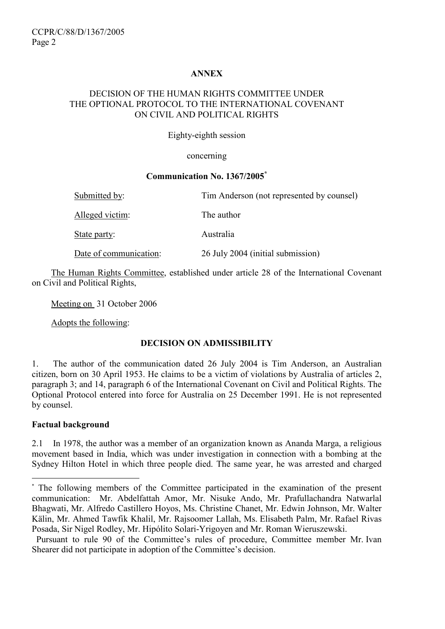#### ANNEX

#### DECISION OF THE HUMAN RIGHTS COMMITTEE UNDER THE OPTIONAL PROTOCOL TO THE INTERNATIONAL COVENANT ON CIVIL AND POLITICAL RIGHTS

Eighty-eighth session

concerning

#### Communication No. 1367/2005\*

| Submitted by:          | Tim Anderson (not represented by counsel) |
|------------------------|-------------------------------------------|
| Alleged victim:        | The author                                |
| State party:           | Australia                                 |
| Date of communication: | 26 July 2004 (initial submission)         |

 The Human Rights Committee, established under article 28 of the International Covenant on Civil and Political Rights,

Meeting on 31 October 2006

Adopts the following:

#### DECISION ON ADMISSIBILITY

1. The author of the communication dated 26 July 2004 is Tim Anderson, an Australian citizen, born on 30 April 1953. He claims to be a victim of violations by Australia of articles 2, paragraph 3; and 14, paragraph 6 of the International Covenant on Civil and Political Rights. The Optional Protocol entered into force for Australia on 25 December 1991. He is not represented by counsel.

#### Factual background

 $\overline{a}$ 

2.1 In 1978, the author was a member of an organization known as Ananda Marga, a religious movement based in India, which was under investigation in connection with a bombing at the Sydney Hilton Hotel in which three people died. The same year, he was arrested and charged

<sup>\*</sup> The following members of the Committee participated in the examination of the present communication: Mr. Abdelfattah Amor, Mr. Nisuke Ando, Mr. Prafullachandra Natwarlal Bhagwati, Mr. Alfredo Castillero Hoyos, Ms. Christine Chanet, Mr. Edwin Johnson, Mr. Walter Kälin, Mr. Ahmed Tawfik Khalil, Mr. Rajsoomer Lallah, Ms. Elisabeth Palm, Mr. Rafael Rivas Posada, Sir Nigel Rodley, Mr. Hipólito Solari-Yrigoyen and Mr. Roman Wieruszewski.

Pursuant to rule 90 of the Committee's rules of procedure, Committee member Mr. Ivan Shearer did not participate in adoption of the Committee's decision.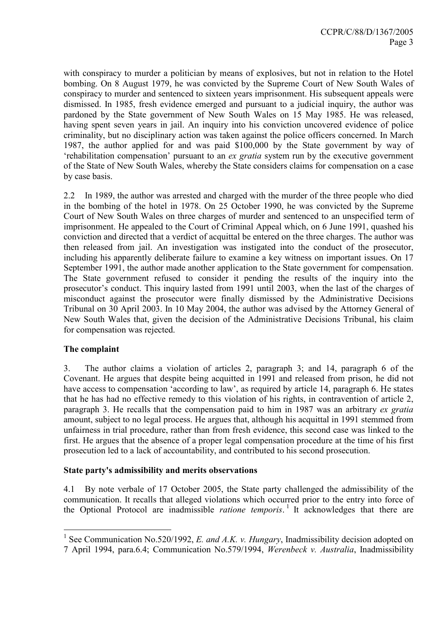with conspiracy to murder a politician by means of explosives, but not in relation to the Hotel bombing. On 8 August 1979, he was convicted by the Supreme Court of New South Wales of conspiracy to murder and sentenced to sixteen years imprisonment. His subsequent appeals were dismissed. In 1985, fresh evidence emerged and pursuant to a judicial inquiry, the author was pardoned by the State government of New South Wales on 15 May 1985. He was released, having spent seven years in jail. An inquiry into his conviction uncovered evidence of police criminality, but no disciplinary action was taken against the police officers concerned. In March 1987, the author applied for and was paid \$100,000 by the State government by way of 'rehabilitation compensation' pursuant to an ex gratia system run by the executive government of the State of New South Wales, whereby the State considers claims for compensation on a case by case basis.

2.2 In 1989, the author was arrested and charged with the murder of the three people who died in the bombing of the hotel in 1978. On 25 October 1990, he was convicted by the Supreme Court of New South Wales on three charges of murder and sentenced to an unspecified term of imprisonment. He appealed to the Court of Criminal Appeal which, on 6 June 1991, quashed his conviction and directed that a verdict of acquittal be entered on the three charges. The author was then released from jail. An investigation was instigated into the conduct of the prosecutor, including his apparently deliberate failure to examine a key witness on important issues. On 17 September 1991, the author made another application to the State government for compensation. The State government refused to consider it pending the results of the inquiry into the prosecutor's conduct. This inquiry lasted from 1991 until 2003, when the last of the charges of misconduct against the prosecutor were finally dismissed by the Administrative Decisions Tribunal on 30 April 2003. In 10 May 2004, the author was advised by the Attorney General of New South Wales that, given the decision of the Administrative Decisions Tribunal, his claim for compensation was rejected.

#### The complaint

 $\overline{a}$ 

3. The author claims a violation of articles 2, paragraph 3; and 14, paragraph 6 of the Covenant. He argues that despite being acquitted in 1991 and released from prison, he did not have access to compensation 'according to law', as required by article 14, paragraph 6. He states that he has had no effective remedy to this violation of his rights, in contravention of article 2, paragraph 3. He recalls that the compensation paid to him in 1987 was an arbitrary ex gratia amount, subject to no legal process. He argues that, although his acquittal in 1991 stemmed from unfairness in trial procedure, rather than from fresh evidence, this second case was linked to the first. He argues that the absence of a proper legal compensation procedure at the time of his first prosecution led to a lack of accountability, and contributed to his second prosecution.

#### State party's admissibility and merits observations

4.1 By note verbale of 17 October 2005, the State party challenged the admissibility of the communication. It recalls that alleged violations which occurred prior to the entry into force of the Optional Protocol are inadmissible *ratione temporis*.<sup>1</sup> It acknowledges that there are

<sup>&</sup>lt;sup>1</sup> See Communication No.520/1992, *E. and A.K. v. Hungary*, Inadmissibility decision adopted on

<sup>7</sup> April 1994, para.6.4; Communication No.579/1994, Werenbeck v. Australia, Inadmissibility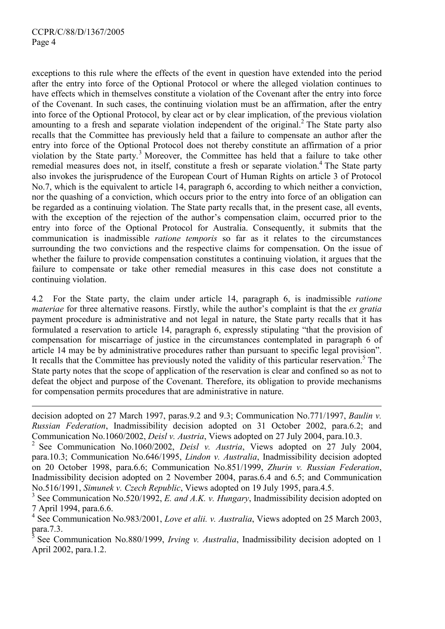$\overline{a}$ 

exceptions to this rule where the effects of the event in question have extended into the period after the entry into force of the Optional Protocol or where the alleged violation continues to have effects which in themselves constitute a violation of the Covenant after the entry into force of the Covenant. In such cases, the continuing violation must be an affirmation, after the entry into force of the Optional Protocol, by clear act or by clear implication, of the previous violation amounting to a fresh and separate violation independent of the original.<sup>2</sup> The State party also recalls that the Committee has previously held that a failure to compensate an author after the entry into force of the Optional Protocol does not thereby constitute an affirmation of a prior violation by the State party.<sup>3</sup> Moreover, the Committee has held that a failure to take other remedial measures does not, in itself, constitute a fresh or separate violation.<sup>4</sup> The State party also invokes the jurisprudence of the European Court of Human Rights on article 3 of Protocol No.7, which is the equivalent to article 14, paragraph 6, according to which neither a conviction, nor the quashing of a conviction, which occurs prior to the entry into force of an obligation can be regarded as a continuing violation. The State party recalls that, in the present case, all events, with the exception of the rejection of the author's compensation claim, occurred prior to the entry into force of the Optional Protocol for Australia. Consequently, it submits that the communication is inadmissible ratione temporis so far as it relates to the circumstances surrounding the two convictions and the respective claims for compensation. On the issue of whether the failure to provide compensation constitutes a continuing violation, it argues that the failure to compensate or take other remedial measures in this case does not constitute a continuing violation.

4.2 For the State party, the claim under article 14, paragraph 6, is inadmissible ratione materiae for three alternative reasons. Firstly, while the author's complaint is that the ex gratia payment procedure is administrative and not legal in nature, the State party recalls that it has formulated a reservation to article 14, paragraph 6, expressly stipulating "that the provision of compensation for miscarriage of justice in the circumstances contemplated in paragraph 6 of article 14 may be by administrative procedures rather than pursuant to specific legal provision". It recalls that the Committee has previously noted the validity of this particular reservation.<sup>5</sup> The State party notes that the scope of application of the reservation is clear and confined so as not to defeat the object and purpose of the Covenant. Therefore, its obligation to provide mechanisms for compensation permits procedures that are administrative in nature.

decision adopted on 27 March 1997, paras.9.2 and 9.3; Communication No.771/1997, Baulin v. Russian Federation, Inadmissibility decision adopted on 31 October 2002, para.6.2; and Communication No.1060/2002, Deisl v. Austria, Views adopted on 27 July 2004, para.10.3.

2 See Communication No.1060/2002, Deisl v. Austria, Views adopted on 27 July 2004, para.10.3; Communication No.646/1995, Lindon v. Australia, Inadmissibility decision adopted on 20 October 1998, para.6.6; Communication No.851/1999, Zhurin v. Russian Federation, Inadmissibility decision adopted on 2 November 2004, paras.6.4 and 6.5; and Communication No.516/1991, Simunek v. Czech Republic, Views adopted on 19 July 1995, para.4.5.

 $4$  See Communication No.983/2001, Love et alii. v. Australia, Views adopted on 25 March 2003, para.7.3.

5 See Communication No.880/1999, Irving v. Australia, Inadmissibility decision adopted on 1 April 2002, para.1.2.

<sup>&</sup>lt;sup>3</sup> See Communication No.520/1992, *E. and A.K. v. Hungary*, Inadmissibility decision adopted on 7 April 1994, para.6.6.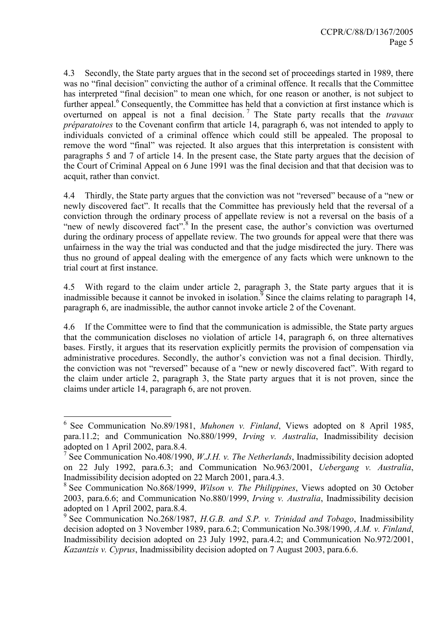4.3 Secondly, the State party argues that in the second set of proceedings started in 1989, there was no "final decision" convicting the author of a criminal offence. It recalls that the Committee has interpreted "final decision" to mean one which, for one reason or another, is not subject to further appeal.<sup>6</sup> Consequently, the Committee has held that a conviction at first instance which is overturned on appeal is not a final decision.<sup>7</sup> The State party recalls that the *travaux* préparatoires to the Covenant confirm that article 14, paragraph 6, was not intended to apply to individuals convicted of a criminal offence which could still be appealed. The proposal to remove the word "final" was rejected. It also argues that this interpretation is consistent with paragraphs 5 and 7 of article 14. In the present case, the State party argues that the decision of the Court of Criminal Appeal on 6 June 1991 was the final decision and that that decision was to acquit, rather than convict.

4.4 Thirdly, the State party argues that the conviction was not "reversed" because of a "new or newly discovered fact". It recalls that the Committee has previously held that the reversal of a conviction through the ordinary process of appellate review is not a reversal on the basis of a "new of newly discovered fact".<sup>8</sup> In the present case, the author's conviction was overturned during the ordinary process of appellate review. The two grounds for appeal were that there was unfairness in the way the trial was conducted and that the judge misdirected the jury. There was thus no ground of appeal dealing with the emergence of any facts which were unknown to the trial court at first instance.

4.5 With regard to the claim under article 2, paragraph 3, the State party argues that it is inadmissible because it cannot be invoked in isolation.<sup>9</sup> Since the claims relating to paragraph 14, paragraph 6, are inadmissible, the author cannot invoke article 2 of the Covenant.

4.6 If the Committee were to find that the communication is admissible, the State party argues that the communication discloses no violation of article 14, paragraph 6, on three alternatives bases. Firstly, it argues that its reservation explicitly permits the provision of compensation via administrative procedures. Secondly, the author's conviction was not a final decision. Thirdly, the conviction was not "reversed" because of a "new or newly discovered fact". With regard to the claim under article 2, paragraph 3, the State party argues that it is not proven, since the claims under article 14, paragraph 6, are not proven.

 6 See Communication No.89/1981, Muhonen v. Finland, Views adopted on 8 April 1985, para.11.2; and Communication No.880/1999, Irving v. Australia, Inadmissibility decision adopted on 1 April 2002, para.8.4.

<sup>&</sup>lt;sup>7</sup> See Communication No.408/1990, *W.J.H. v. The Netherlands*, Inadmissibility decision adopted on 22 July 1992, para.6.3; and Communication No.963/2001, Uebergang v. Australia, Inadmissibility decision adopted on 22 March 2001, para.4.3.

 $8$  See Communication No.868/1999, Wilson v. The Philippines, Views adopted on 30 October 2003, para.6.6; and Communication No.880/1999, Irving v. Australia, Inadmissibility decision adopted on 1 April 2002, para.8.4.

<sup>&</sup>lt;sup>9</sup> See Communication No.268/1987, H.G.B. and S.P. v. Trinidad and Tobago, Inadmissibility decision adopted on 3 November 1989, para.6.2; Communication No.398/1990, A.M. v. Finland, Inadmissibility decision adopted on 23 July 1992, para.4.2; and Communication No.972/2001, Kazantzis v. Cyprus, Inadmissibility decision adopted on 7 August 2003, para.6.6.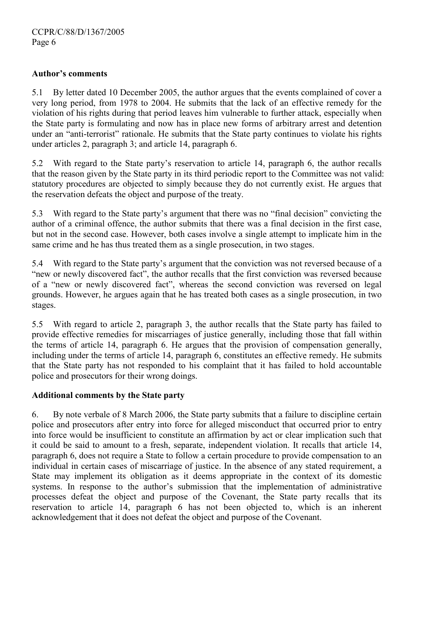#### Author's comments

5.1 By letter dated 10 December 2005, the author argues that the events complained of cover a very long period, from 1978 to 2004. He submits that the lack of an effective remedy for the violation of his rights during that period leaves him vulnerable to further attack, especially when the State party is formulating and now has in place new forms of arbitrary arrest and detention under an "anti-terrorist" rationale. He submits that the State party continues to violate his rights under articles 2, paragraph 3; and article 14, paragraph 6.

5.2 With regard to the State party's reservation to article 14, paragraph 6, the author recalls that the reason given by the State party in its third periodic report to the Committee was not valid: statutory procedures are objected to simply because they do not currently exist. He argues that the reservation defeats the object and purpose of the treaty.

5.3 With regard to the State party's argument that there was no "final decision" convicting the author of a criminal offence, the author submits that there was a final decision in the first case, but not in the second case. However, both cases involve a single attempt to implicate him in the same crime and he has thus treated them as a single prosecution, in two stages.

5.4 With regard to the State party's argument that the conviction was not reversed because of a "new or newly discovered fact", the author recalls that the first conviction was reversed because of a "new or newly discovered fact", whereas the second conviction was reversed on legal grounds. However, he argues again that he has treated both cases as a single prosecution, in two stages.

5.5 With regard to article 2, paragraph 3, the author recalls that the State party has failed to provide effective remedies for miscarriages of justice generally, including those that fall within the terms of article 14, paragraph 6. He argues that the provision of compensation generally, including under the terms of article 14, paragraph 6, constitutes an effective remedy. He submits that the State party has not responded to his complaint that it has failed to hold accountable police and prosecutors for their wrong doings.

#### Additional comments by the State party

6. By note verbale of 8 March 2006, the State party submits that a failure to discipline certain police and prosecutors after entry into force for alleged misconduct that occurred prior to entry into force would be insufficient to constitute an affirmation by act or clear implication such that it could be said to amount to a fresh, separate, independent violation. It recalls that article 14, paragraph 6, does not require a State to follow a certain procedure to provide compensation to an individual in certain cases of miscarriage of justice. In the absence of any stated requirement, a State may implement its obligation as it deems appropriate in the context of its domestic systems. In response to the author's submission that the implementation of administrative processes defeat the object and purpose of the Covenant, the State party recalls that its reservation to article 14, paragraph 6 has not been objected to, which is an inherent acknowledgement that it does not defeat the object and purpose of the Covenant.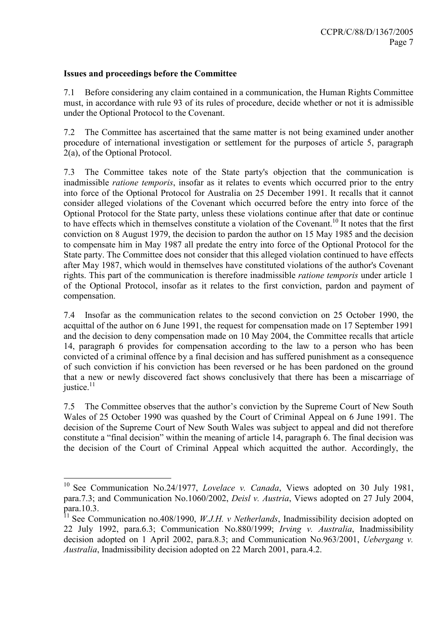#### Issues and proceedings before the Committee

 $\overline{a}$ 

7.1 Before considering any claim contained in a communication, the Human Rights Committee must, in accordance with rule 93 of its rules of procedure, decide whether or not it is admissible under the Optional Protocol to the Covenant.

7.2 The Committee has ascertained that the same matter is not being examined under another procedure of international investigation or settlement for the purposes of article 5, paragraph 2(a), of the Optional Protocol.

7.3 The Committee takes note of the State party's objection that the communication is inadmissible ratione temporis, insofar as it relates to events which occurred prior to the entry into force of the Optional Protocol for Australia on 25 December 1991. It recalls that it cannot consider alleged violations of the Covenant which occurred before the entry into force of the Optional Protocol for the State party, unless these violations continue after that date or continue to have effects which in themselves constitute a violation of the Covenant.<sup>10</sup> It notes that the first conviction on 8 August 1979, the decision to pardon the author on 15 May 1985 and the decision to compensate him in May 1987 all predate the entry into force of the Optional Protocol for the State party. The Committee does not consider that this alleged violation continued to have effects after May 1987, which would in themselves have constituted violations of the author's Covenant rights. This part of the communication is therefore inadmissible ratione temporis under article 1 of the Optional Protocol, insofar as it relates to the first conviction, pardon and payment of compensation.

7.4 Insofar as the communication relates to the second conviction on 25 October 1990, the acquittal of the author on 6 June 1991, the request for compensation made on 17 September 1991 and the decision to deny compensation made on 10 May 2004, the Committee recalls that article 14, paragraph 6 provides for compensation according to the law to a person who has been convicted of a criminal offence by a final decision and has suffered punishment as a consequence of such conviction if his conviction has been reversed or he has been pardoned on the ground that a new or newly discovered fact shows conclusively that there has been a miscarriage of justice.<sup>11</sup>

7.5 The Committee observes that the author's conviction by the Supreme Court of New South Wales of 25 October 1990 was quashed by the Court of Criminal Appeal on 6 June 1991. The decision of the Supreme Court of New South Wales was subject to appeal and did not therefore constitute a "final decision" within the meaning of article 14, paragraph 6. The final decision was the decision of the Court of Criminal Appeal which acquitted the author. Accordingly, the

<sup>&</sup>lt;sup>10</sup> See Communication No.24/1977, *Lovelace v. Canada*, Views adopted on 30 July 1981, para.7.3; and Communication No.1060/2002, Deisl v. Austria, Views adopted on 27 July 2004, para.10.3.

<sup>&</sup>lt;sup>11</sup> See Communication no.408/1990, *W.J.H. v Netherlands*, Inadmissibility decision adopted on 22 July 1992, para.6.3; Communication No.880/1999; Irving v. Australia, Inadmissibility decision adopted on 1 April 2002, para.8.3; and Communication No.963/2001, Uebergang v. Australia, Inadmissibility decision adopted on 22 March 2001, para.4.2.